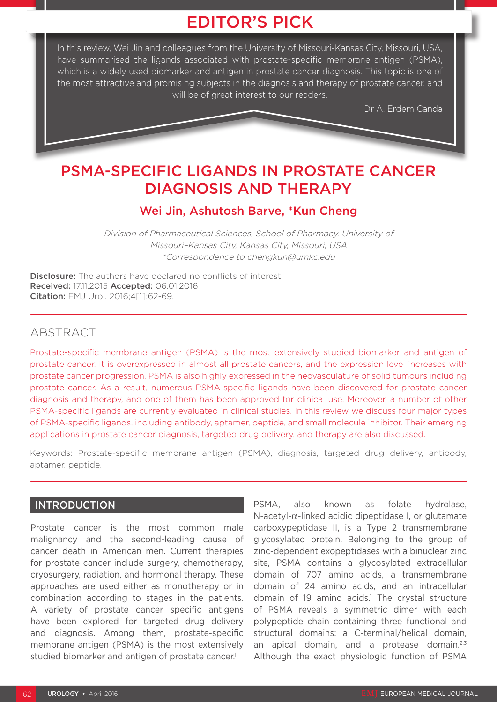# EDITOR'S PICK

In this review, Wei Jin and colleagues from the University of Missouri-Kansas City, Missouri, USA, have summarised the ligands associated with prostate-specific membrane antigen (PSMA), which is a widely used biomarker and antigen in prostate cancer diagnosis. This topic is one of the most attractive and promising subjects in the diagnosis and therapy of prostate cancer, and will be of great interest to our readers.

Dr A. Erdem Canda

# PSMA-SPECIFIC LIGANDS IN PROSTATE CANCER DIAGNOSIS AND THERAPY

## Wei Jin, Ashutosh Barve, \*Kun Cheng

Division of Pharmaceutical Sciences, School of Pharmacy, University of Missouri–Kansas City, Kansas City, Missouri, USA \*Correspondence to chengkun@umkc.edu

**Disclosure:** The authors have declared no conflicts of interest. Received: 17.11.2015 Accepted: 06.01.2016 **Citation:** EMJ Urol. 2016;4[1]:62-69.

## ABSTRACT

Prostate-specific membrane antigen (PSMA) is the most extensively studied biomarker and antigen of prostate cancer. It is overexpressed in almost all prostate cancers, and the expression level increases with prostate cancer progression. PSMA is also highly expressed in the neovasculature of solid tumours including prostate cancer. As a result, numerous PSMA-specific ligands have been discovered for prostate cancer diagnosis and therapy, and one of them has been approved for clinical use. Moreover, a number of other PSMA-specific ligands are currently evaluated in clinical studies. In this review we discuss four major types of PSMA-specific ligands, including antibody, aptamer, peptide, and small molecule inhibitor. Their emerging applications in prostate cancer diagnosis, targeted drug delivery, and therapy are also discussed.

Keywords: Prostate-specific membrane antigen (PSMA), diagnosis, targeted drug delivery, antibody, aptamer, peptide.

## INTRODUCTION

Prostate cancer is the most common male malignancy and the second-leading cause of cancer death in American men. Current therapies for prostate cancer include surgery, chemotherapy, cryosurgery, radiation, and hormonal therapy. These approaches are used either as monotherapy or in combination according to stages in the patients. A variety of prostate cancer specific antigens have been explored for targeted drug delivery and diagnosis. Among them, prostate-specific membrane antigen (PSMA) is the most extensively studied biomarker and antigen of prostate cancer.<sup>1</sup>

PSMA, also known as folate hydrolase, N-acetyl-α-linked acidic dipeptidase I, or glutamate carboxypeptidase II, is a Type 2 transmembrane glycosylated protein. Belonging to the group of zinc-dependent exopeptidases with a binuclear zinc site, PSMA contains a glycosylated extracellular domain of 707 amino acids, a transmembrane domain of 24 amino acids, and an intracellular domain of 19 amino acids.<sup>1</sup> The crystal structure of PSMA reveals a symmetric dimer with each polypeptide chain containing three functional and structural domains: a C-terminal/helical domain, an apical domain, and a protease domain. $2,3$ Although the exact physiologic function of PSMA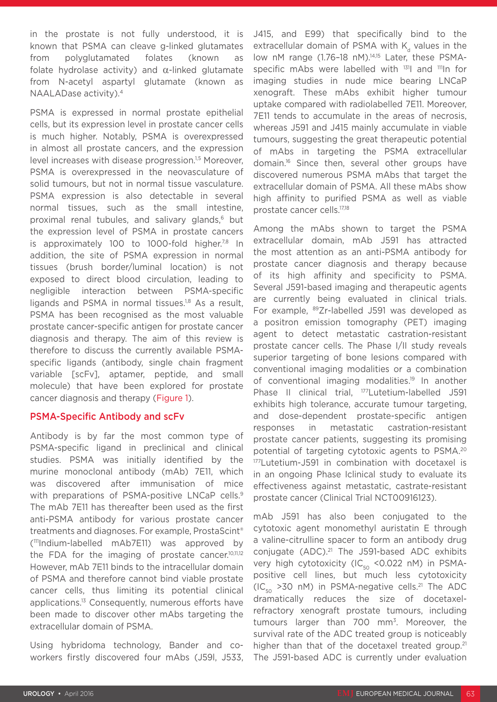in the prostate is not fully understood, it is known that PSMA can cleave g-linked glutamates from polyglutamated folates (known as folate hydrolase activity) and  $\alpha$ -linked glutamate from N-acetyl aspartyl glutamate (known as NAALADase activity).4

PSMA is expressed in normal prostate epithelial cells, but its expression level in prostate cancer cells is much higher. Notably, PSMA is overexpressed in almost all prostate cancers, and the expression level increases with disease progression.<sup>1,5</sup> Moreover, PSMA is overexpressed in the neovasculature of solid tumours, but not in normal tissue vasculature. PSMA expression is also detectable in several normal tissues, such as the small intestine, proximal renal tubules, and salivary glands,<sup>6</sup> but the expression level of PSMA in prostate cancers is approximately 100 to 1000-fold higher.<sup>7,8</sup> In addition, the site of PSMA expression in normal tissues (brush border/luminal location) is not exposed to direct blood circulation, leading to negligible interaction between PSMA-specific ligands and PSMA in normal tissues.<sup>1,8</sup> As a result, PSMA has been recognised as the most valuable prostate cancer-specific antigen for prostate cancer diagnosis and therapy. The aim of this review is therefore to discuss the currently available PSMAspecific ligands (antibody, single chain fragment variable [scFv], aptamer, peptide, and small molecule) that have been explored for prostate cancer diagnosis and therapy (Figure 1).

## PSMA-Specific Antibody and scFv

Antibody is by far the most common type of PSMA-specific ligand in preclinical and clinical studies. PSMA was initially identified by the murine monoclonal antibody (mAb) 7E11, which was discovered after immunisation of mice with preparations of PSMA-positive LNCaP cells.<sup>9</sup> The mAb 7E11 has thereafter been used as the first anti-PSMA antibody for various prostate cancer treatments and diagnoses. For example, ProstaScint® (111Indium-labelled mAb7E11) was approved by the FDA for the imaging of prostate cancer.<sup>10,11,12</sup> However, mAb 7E11 binds to the intracellular domain of PSMA and therefore cannot bind viable prostate cancer cells, thus limiting its potential clinical applications.13 Consequently, numerous efforts have been made to discover other mAbs targeting the extracellular domain of PSMA.

Using hybridoma technology, Bander and coworkers firstly discovered four mAbs (J59l, J533, J415, and E99) that specifically bind to the extracellular domain of PSMA with  $K_d$  values in the low nM range (1.76-18 nM).<sup>14,15</sup> Later, these PSMAspecific mAbs were labelled with <sup>131</sup>I and <sup>111</sup>In for imaging studies in nude mice bearing LNCaP xenograft. These mAbs exhibit higher tumour uptake compared with radiolabelled 7E11. Moreover, 7E11 tends to accumulate in the areas of necrosis, whereas J591 and J415 mainly accumulate in viable tumours, suggesting the great therapeutic potential of mAbs in targeting the PSMA extracellular domain.16 Since then, several other groups have discovered numerous PSMA mAbs that target the extracellular domain of PSMA. All these mAbs show high affinity to purified PSMA as well as viable prostate cancer cells.17,18

Among the mAbs shown to target the PSMA extracellular domain, mAb J591 has attracted the most attention as an anti-PSMA antibody for prostate cancer diagnosis and therapy because of its high affinity and specificity to PSMA. Several J591-based imaging and therapeutic agents are currently being evaluated in clinical trials. For example, 89Zr-labelled J591 was developed as a positron emission tomography (PET) imaging agent to detect metastatic castration-resistant prostate cancer cells. The Phase I/II study reveals superior targeting of bone lesions compared with conventional imaging modalities or a combination of conventional imaging modalities.<sup>19</sup> In another Phase II clinical trial, <sup>177</sup>Lutetium-labelled J591 exhibits high tolerance, accurate tumour targeting, and dose-dependent prostate-specific antigen responses in metastatic castration-resistant prostate cancer patients, suggesting its promising potential of targeting cytotoxic agents to PSMA.20 177Lutetium-J591 in combination with docetaxel is in an ongoing Phase Iclinical study to evaluate its effectiveness against metastatic, castrate-resistant prostate cancer (Clinical Trial NCT00916123).

mAb J591 has also been conjugated to the cytotoxic agent monomethyl auristatin E through a valine-citrulline spacer to form an antibody drug conjugate (ADC).<sup>21</sup> The J591-based ADC exhibits very high cytotoxicity (IC $_{50}$  <0.022 nM) in PSMApositive cell lines, but much less cytotoxicity  $(IC_{50} > 30 \text{ nM})$  in PSMA-negative cells.<sup>21</sup> The ADC dramatically reduces the size of docetaxelrefractory xenograft prostate tumours, including tumours larger than 700 mm<sup>3</sup>. Moreover, the survival rate of the ADC treated group is noticeably higher than that of the docetaxel treated group.<sup>21</sup> The J591-based ADC is currently under evaluation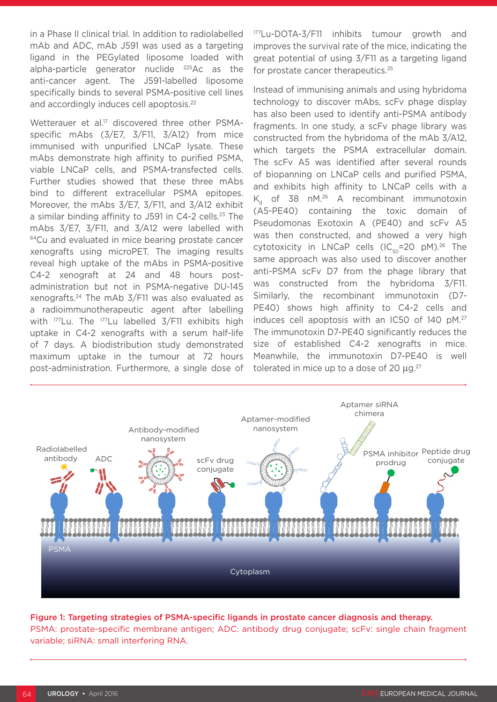in a Phase II clinical trial. In addition to radiolabelled mAb and ADC, mAb J591 was used as a targeting ligand in the PEGylated liposome loaded with alpha-particle generator nuclide 225Ac as the anti-cancer agent. The J591-labelled liposome specifically binds to several PSMA-positive cell lines and accordingly induces cell apoptosis.<sup>22</sup>

Wetterauer et al.<sup>17</sup> discovered three other PSMAspecific mAbs (3/E7, 3/F11, 3/A12) from mice immunised with unpurified LNCaP lysate. These mAbs demonstrate high affinity to purified PSMA, viable LNCaP cells, and PSMA-transfected cells. Further studies showed that these three mAbs bind to different extracellular PSMA epitopes. Moreover, the mAbs 3/E7, 3/F11, and 3/A12 exhibit a similar binding affinity to J591 in C4-2 cells.<sup>23</sup> The mAbs 3/E7, 3/F11, and 3/A12 were labelled with <sup>64</sup>Cu and evaluated in mice bearing prostate cancer xenografts using microPET. The imaging results reveal high uptake of the mAbs in PSMA-positive C4-2 xenograft at 24 and 48 hours postadministration but not in PSMA-negative DU-145 xenografts.24 The mAb 3/F11 was also evaluated as a radioimmunotherapeutic agent after labelling with <sup>177</sup>Lu. The <sup>177</sup>Lu labelled 3/F11 exhibits high uptake in C4-2 xenografts with a serum half-life of 7 days. A biodistribution study demonstrated maximum uptake in the tumour at 72 hours post-administration. Furthermore, a single dose of

177Lu-DOTA-3/F11 inhibits tumour growth and improves the survival rate of the mice, indicating the great potential of using 3/F11 as a targeting ligand for prostate cancer therapeutics.<sup>25</sup>

Instead of immunising animals and using hybridoma technology to discover mAbs, scFv phage display has also been used to identify anti-PSMA antibody fragments. In one study, a scFv phage library was constructed from the hybridoma of the mAb 3/A12, which targets the PSMA extracellular domain. The scFv A5 was identified after several rounds of biopanning on LNCaP cells and purified PSMA, and exhibits high affinity to LNCaP cells with a  $K_a$  of 38 nM.<sup>26</sup> A recombinant immunotoxin (A5-PE40) containing the toxic domain of Pseudomonas Exotoxin A (PE40) and scFv A5 was then constructed, and showed a very high cytotoxicity in LNCaP cells  $(IC_{50} = 20 \text{ pM})^{26}$  The same approach was also used to discover another anti-PSMA scFv D7 from the phage library that was constructed from the hybridoma 3/F11. Similarly, the recombinant immunotoxin (D7- PE40) shows high affinity to C4-2 cells and induces cell apoptosis with an IC50 of 140 pM.27 The immunotoxin D7-PE40 significantly reduces the size of established C4-2 xenografts in mice. Meanwhile, the immunotoxin D7-PE40 is well tolerated in mice up to a dose of 20  $\mu$ g.<sup>27</sup>



#### Figure 1: Targeting strategies of PSMA-specific ligands in prostate cancer diagnosis and therapy.

PSMA: prostate-specific membrane antigen; ADC: antibody drug conjugate; scFv: single chain fragment variable; siRNA: small interfering RNA.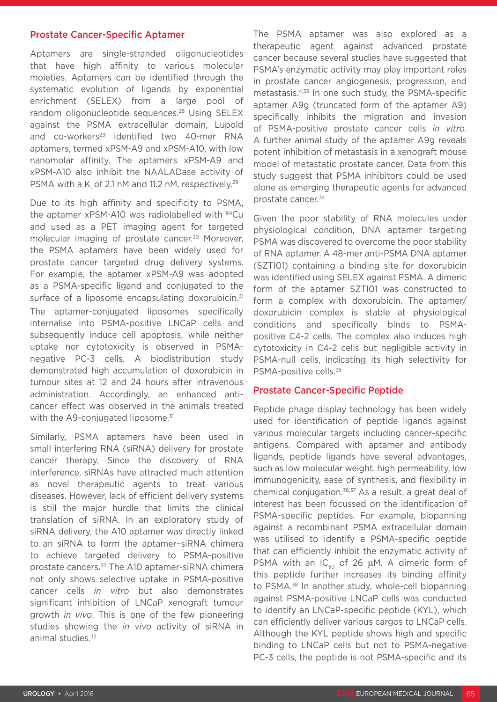### Prostate Cancer-Specific Aptamer

Aptamers are single-stranded oligonucleotides that have high affinity to various molecular moieties. Aptamers can be identified through the systematic evolution of ligands by exponential enrichment (SELEX) from a large pool of random oligonucleotide sequences.28 Using SELEX against the PSMA extracellular domain, Lupold and co-workers<sup>29</sup> identified two 40-mer RNA aptamers, termed xPSM-A9 and xPSM-A10, with low nanomolar affinity. The aptamers xPSM-A9 and xPSM-A10 also inhibit the NAALADase activity of PSMA with a K, of 2.1 nM and 11.2 nM, respectively. $^{29}$ 

Due to its high affinity and specificity to PSMA, the aptamer xPSM-A10 was radiolabelled with 64Cu and used as a PET imaging agent for targeted molecular imaging of prostate cancer.30 Moreover, the PSMA aptamers have been widely used for prostate cancer targeted drug delivery systems. For example, the aptamer xPSM-A9 was adopted as a PSMA-specific ligand and conjugated to the surface of a liposome encapsulating doxorubicin.<sup>31</sup> The aptamer-conjugated liposomes specifically internalise into PSMA-positive LNCaP cells and subsequently induce cell apoptosis, while neither uptake nor cytotoxicity is observed in PSMAnegative PC-3 cells. A biodistribution study demonstrated high accumulation of doxorubicin in tumour sites at 12 and 24 hours after intravenous administration. Accordingly, an enhanced anticancer effect was observed in the animals treated with the A9-conjugated liposome.<sup>31</sup>

Similarly, PSMA aptamers have been used in small interfering RNA (siRNA) delivery for prostate cancer therapy. Since the discovery of RNA interference, siRNAs have attracted much attention as novel therapeutic agents to treat various diseases. However, lack of efficient delivery systems is still the major hurdle that limits the clinical translation of siRNA. In an exploratory study of siRNA delivery, the A10 aptamer was directly linked to an siRNA to form the aptamer–siRNA chimera to achieve targeted delivery to PSMA-positive prostate cancers.32 The A10 aptamer-siRNA chimera not only shows selective uptake in PSMA-positive cancer cells *in vitro* but also demonstrates significant inhibition of LNCaP xenograft tumour growth *in vivo*. This is one of the few pioneering studies showing the *in vivo* activity of siRNA in animal studies.<sup>32</sup>

The PSMA aptamer was also explored as a therapeutic agent against advanced prostate cancer because several studies have suggested that PSMA's enzymatic activity may play important roles in prostate cancer angiogenesis, progression, and metastasis.4,33 In one such study, the PSMA-specific aptamer A9g (truncated form of the aptamer A9) specifically inhibits the migration and invasion of PSMA-positive prostate cancer cells *in vitro*. A further animal study of the aptamer A9g reveals potent inhibition of metastasis in a xenograft mouse model of metastatic prostate cancer. Data from this study suggest that PSMA inhibitors could be used alone as emerging therapeutic agents for advanced prostate cancer.34

Given the poor stability of RNA molecules under physiological condition, DNA aptamer targeting PSMA was discovered to overcome the poor stability of RNA aptamer. A 48-mer anti-PSMA DNA aptamer (SZTI01) containing a binding site for doxorubicin was identified using SELEX against PSMA. A dimeric form of the aptamer SZTI01 was constructed to form a complex with doxorubicin. The aptamer/ doxorubicin complex is stable at physiological conditions and specifically binds to PSMApositive C4-2 cells. The complex also induces high cytotoxicity in C4-2 cells but negligible activity in PSMA-null cells, indicating its high selectivity for PSMA-positive cells.<sup>35</sup>

## Prostate Cancer-Specific Peptide

Peptide phage display technology has been widely used for identification of peptide ligands against various molecular targets including cancer-specific antigens. Compared with aptamer and antibody ligands, peptide ligands have several advantages, such as low molecular weight, high permeability, low immunogenicity, ease of synthesis, and flexibility in chemical conjugation.36,37 As a result, a great deal of interest has been focussed on the identification of PSMA-specific peptides. For example, biopanning against a recombinant PSMA extracellular domain was utilised to identify a PSMA-specific peptide that can efficiently inhibit the enzymatic activity of PSMA with an  $IC_{50}$  of 26 µM. A dimeric form of this peptide further increases its binding affinity to PSMA.38 In another study, whole-cell biopanning against PSMA-positive LNCaP cells was conducted to identify an LNCaP-specific peptide (KYL), which can efficiently deliver various cargos to LNCaP cells. Although the KYL peptide shows high and specific binding to LNCaP cells but not to PSMA-negative PC-3 cells, the peptide is not PSMA-specific and its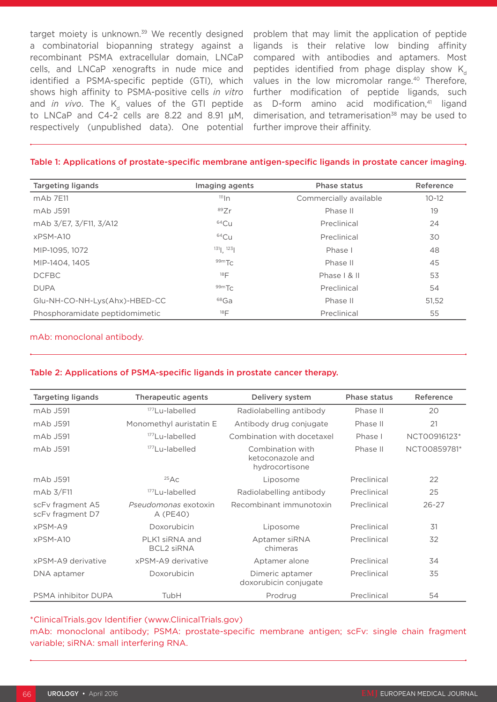target moiety is unknown.<sup>39</sup> We recently designed a combinatorial biopanning strategy against a recombinant PSMA extracellular domain, LNCaP cells, and LNCaP xenografts in nude mice and identified a PSMA-specific peptide (GTI), which shows high affinity to PSMA-positive cells *in vitro* and *in vivo*. The  $K_d$  values of the GTI peptide to LNCaP and C4-2 cells are 8.22 and 8.91 μM, respectively (unpublished data). One potential

problem that may limit the application of peptide ligands is their relative low binding affinity compared with antibodies and aptamers. Most peptides identified from phage display show  $K_d$ values in the low micromolar range.<sup>40</sup> Therefore, further modification of peptide ligands, such as D-form amino acid modification,<sup>41</sup> ligand dimerisation, and tetramerisation $38$  may be used to further improve their affinity.

#### Table 1: Applications of prostate-specific membrane antigen-specific ligands in prostate cancer imaging.

| <b>Targeting ligands</b>       | Imaging agents  | Phase status           | Reference |
|--------------------------------|-----------------|------------------------|-----------|
| mAb 7E11                       | 111n            | Commercially available | $10 - 12$ |
| mAb J591                       | 897r            | Phase II               | 19        |
| mAb 3/E7, 3/F11, 3/A12         | $64$ Cu         | Preclinical            | 24        |
| xPSM-A10                       | $64$ CU         | Preclinical            | 30        |
| MIP-1095, 1072                 | $131$ $123$     | Phase I                | 48        |
| MIP-1404, 1405                 | $99m$ Tc        | Phase II               | 45        |
| <b>DCFBC</b>                   | 18F             | Phase   & II           | 53        |
| <b>DUPA</b>                    | $99m$ Tc        | Preclinical            | 54        |
| Glu-NH-CO-NH-Lys(Ahx)-HBED-CC  | 68Ga            | Phase II               | 51,52     |
| Phosphoramidate peptidomimetic | 18 <sub>F</sub> | Preclinical            | 55        |

#### mAb: monoclonal antibody.

#### Table 2: Applications of PSMA-specific ligands in prostate cancer therapy.

| <b>Targeting ligands</b>             | Therapeutic agents                  | Delivery system                                        | Phase status | Reference    |
|--------------------------------------|-------------------------------------|--------------------------------------------------------|--------------|--------------|
| mAb J591                             | <sup>177</sup> Lu-labelled          | Radiolabelling antibody                                | Phase II     | 20           |
| mAb J591                             | Monomethyl auristatin E             | Antibody drug conjugate                                | Phase II     | 21           |
| mAb J591                             | <sup>177</sup> Lu-labelled          | Combination with docetaxel                             | Phase I      | NCT00916123* |
| mAb J591                             | <sup>177</sup> Lu-labelled          | Combination with<br>ketoconazole and<br>hydrocortisone | Phase II     | NCT00859781* |
| mAb J591                             | 25AC                                | Liposome                                               | Preclinical  | 22           |
| $mAb$ 3/F11                          | <sup>177</sup> Lu-labelled          | Radiolabelling antibody                                | Preclinical  | 25           |
| scFv fragment A5<br>scFv fragment D7 | Pseudomonas exotoxin<br>A (PE40)    | Recombinant immunotoxin                                | Preclinical  | $26 - 27$    |
| xPSM-A9                              | Doxorubicin                         | Liposome                                               | Preclinical  | 31           |
| xPSM-A10                             | PLK1 siRNA and<br><b>BCL2 siRNA</b> | Aptamer siRNA<br>chimeras                              | Preclinical  | 32           |
| xPSM-A9 derivative                   | xPSM-A9 derivative                  | Aptamer alone                                          | Preclinical  | 34           |
| DNA aptamer                          | Doxorubicin                         | Dimeric aptamer<br>doxorubicin conjugate               | Preclinical  | 35           |
| PSMA inhibitor DUPA                  | TubH                                | Prodrug                                                | Preclinical  | 54           |

#### \*ClinicalTrials.gov Identifier (www.ClinicalTrials.gov)

mAb: monoclonal antibody; PSMA: prostate-specific membrane antigen; scFv: single chain fragment variable; siRNA: small interfering RNA.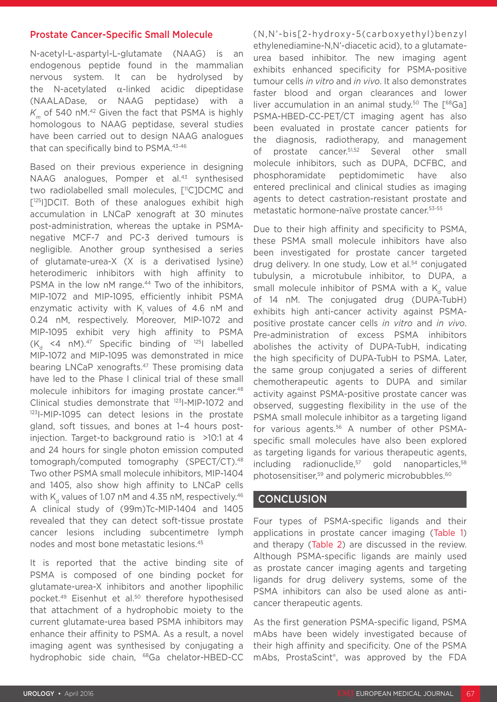## Prostate Cancer-Specific Small Molecule

N-acetyl-L-aspartyl-L-glutamate (NAAG) is an endogenous peptide found in the mammalian nervous system. It can be hydrolysed by the N-acetylated  $\alpha$ -linked acidic dipeptidase (NAALADase, or NAAG peptidase) with a  $K<sub>m</sub>$  of 540 nM.<sup>42</sup> Given the fact that PSMA is highly homologous to NAAG peptidase, several studies have been carried out to design NAAG analogues that can specifically bind to PSMA.<sup>43-46</sup>

Based on their previous experience in designing NAAG analogues, Pomper et al.<sup>43</sup> synthesised two radiolabelled small molecules, [<sup>11</sup>C]DCMC and [<sup>125</sup>]]DCIT. Both of these analogues exhibit high accumulation in LNCaP xenograft at 30 minutes post-administration, whereas the uptake in PSMAnegative MCF-7 and PC-3 derived tumours is negligible. Another group synthesised a series of glutamate-urea-X (X is a derivatised lysine) heterodimeric inhibitors with high affinity to PSMA in the low nM range.<sup>44</sup> Two of the inhibitors, MIP-1072 and MIP-1095, efficiently inhibit PSMA enzymatic activity with K<sub>i</sub> values of 4.6 nM and 0.24 nM, respectively. Moreover, MIP-1072 and MIP-1095 exhibit very high affinity to PSMA  $(K_d$  <4 nM).<sup>47</sup> Specific binding of <sup>125</sup>I labelled MIP-1072 and MIP-1095 was demonstrated in mice bearing LNCaP xenografts.47 These promising data have led to the Phase I clinical trial of these small molecule inhibitors for imaging prostate cancer.<sup>48</sup> Clinical studies demonstrate that 123I-MIP-1072 and 123I-MIP-1095 can detect lesions in the prostate gland, soft tissues, and bones at 1–4 hours postinjection. Target-to background ratio is >10:1 at 4 and 24 hours for single photon emission computed tomograph/computed tomography (SPECT/CT).48 Two other PSMA small molecule inhibitors, MIP-1404 and 1405, also show high affinity to LNCaP cells with  $K_d$  values of 1.07 nM and 4.35 nM, respectively.<sup>46</sup> A clinical study of (99m)Tc-MIP-1404 and 1405 revealed that they can detect soft-tissue prostate cancer lesions including subcentimetre lymph nodes and most bone metastatic lesions.45

It is reported that the active binding site of PSMA is composed of one binding pocket for glutamate-urea-X inhibitors and another lipophilic pocket.49 Eisenhut et al.50 therefore hypothesised that attachment of a hydrophobic moiety to the current glutamate-urea based PSMA inhibitors may enhance their affinity to PSMA. As a result, a novel imaging agent was synthesised by conjugating a hydrophobic side chain, 68Ga chelator-HBED-CC

(N,N'-bis[2-hydroxy-5(carboxyethyl)benzyl ethylenediamine-N,N'-diacetic acid), to a glutamateurea based inhibitor. The new imaging agent exhibits enhanced specificity for PSMA-positive tumour cells *in vitro* and *in vivo*. It also demonstrates faster blood and organ clearances and lower liver accumulation in an animal study.<sup>50</sup> The  $[$ <sup>68</sup>Ga] PSMA-HBED-CC-PET/CT imaging agent has also been evaluated in prostate cancer patients for the diagnosis, radiotherapy, and management of prostate cancer.51,52 Several other small molecule inhibitors, such as DUPA, DCFBC, and phosphoramidate peptidomimetic have also entered preclinical and clinical studies as imaging agents to detect castration-resistant prostate and metastatic hormone-naïve prostate cancer.53-55

Due to their high affinity and specificity to PSMA, these PSMA small molecule inhibitors have also been investigated for prostate cancer targeted drug delivery. In one study, Low et al.<sup>54</sup> conjugated tubulysin, a microtubule inhibitor, to DUPA, a small molecule inhibitor of PSMA with a  $K<sub>a</sub>$  value of 14 nM. The conjugated drug (DUPA-TubH) exhibits high anti-cancer activity against PSMApositive prostate cancer cells *in vitro* and *in vivo*. Pre-administration of excess PSMA inhibitors abolishes the activity of DUPA-TubH, indicating the high specificity of DUPA-TubH to PSMA. Later, the same group conjugated a series of different chemotherapeutic agents to DUPA and similar activity against PSMA-positive prostate cancer was observed, suggesting flexibility in the use of the PSMA small molecule inhibitor as a targeting ligand for various agents.<sup>56</sup> A number of other PSMAspecific small molecules have also been explored as targeting ligands for various therapeutic agents,  $including$  radionuclide, $57$  gold nanoparticles, $58$ photosensitiser,<sup>59</sup> and polymeric microbubbles.<sup>60</sup>

## **CONCLUSION**

Four types of PSMA-specific ligands and their applications in prostate cancer imaging (Table 1) and therapy (Table 2) are discussed in the review. Although PSMA-specific ligands are mainly used as prostate cancer imaging agents and targeting ligands for drug delivery systems, some of the PSMA inhibitors can also be used alone as anticancer therapeutic agents.

As the first generation PSMA-specific ligand, PSMA mAbs have been widely investigated because of their high affinity and specificity. One of the PSMA mAbs, ProstaScint®, was approved by the FDA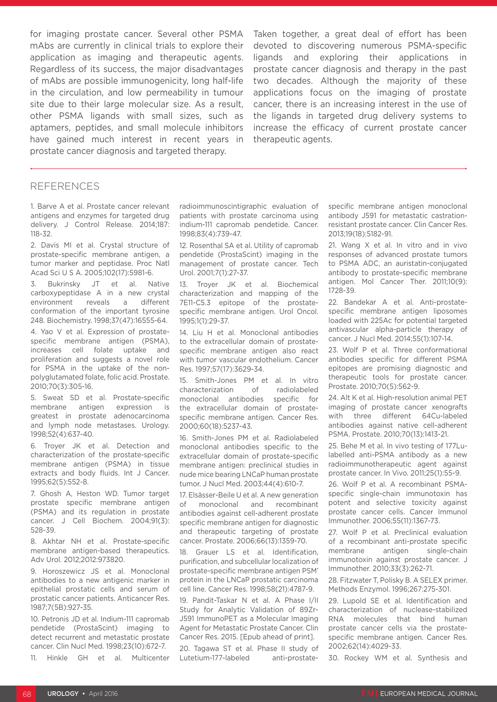for imaging prostate cancer. Several other PSMA mAbs are currently in clinical trials to explore their application as imaging and therapeutic agents. Regardless of its success, the major disadvantages of mAbs are possible immunogenicity, long half-life in the circulation, and low permeability in tumour site due to their large molecular size. As a result, other PSMA ligands with small sizes, such as aptamers, peptides, and small molecule inhibitors have gained much interest in recent years in prostate cancer diagnosis and targeted therapy.

Taken together, a great deal of effort has been devoted to discovering numerous PSMA-specific ligands and exploring their applications in prostate cancer diagnosis and therapy in the past two decades. Although the majority of these applications focus on the imaging of prostate cancer, there is an increasing interest in the use of the ligands in targeted drug delivery systems to increase the efficacy of current prostate cancer therapeutic agents.

#### **REFERENCES**

1. Barve A et al. Prostate cancer relevant antigens and enzymes for targeted drug delivery. J Control Release. 2014;187: 118-32.

2. Davis MI et al. Crystal structure of prostate-specific membrane antigen, a tumor marker and peptidase. Proc Natl Acad Sci U S A. 2005;102(17):5981-6.

3. Bukrinsky JT et al. Native carboxypeptidase A in a new crystal environment reveals a different conformation of the important tyrosine 248. Biochemistry. 1998;37(47):16555-64.

4. Yao V et al. Expression of prostatespecific membrane antigen (PSMA), increases cell folate uptake and proliferation and suggests a novel role for PSMA in the uptake of the nonpolyglutamated folate, folic acid. Prostate. 2010;70(3):305-16.

5. Sweat SD et al. Prostate-specific membrane antigen expression is greatest in prostate adenocarcinoma and lymph node metastases. Urology. 1998;52(4):637-40.

6. Troyer JK et al. Detection and characterization of the prostate-specific membrane antigen (PSMA) in tissue extracts and body fluids. Int J Cancer. 1995;62(5):552-8.

7. Ghosh A, Heston WD. Tumor target prostate specific membrane antigen (PSMA) and its regulation in prostate cancer. J Cell Biochem. 2004;91(3): 528-39.

8. Akhtar NH et al. Prostate-specific membrane antigen-based therapeutics. Adv Urol. 2012;2012:973820.

9. Horoszewicz JS et al. Monoclonal antibodies to a new antigenic marker in epithelial prostatic cells and serum of prostatic cancer patients. Anticancer Res. 1987;7(5B):927-35.

10. Petronis JD et al. Indium-111 capromab pendetide (ProstaScint) imaging to detect recurrent and metastatic prostate cancer. Clin Nucl Med. 1998;23(10):672-7.

11. Hinkle GH et al. Multicenter

radioimmunoscintigraphic evaluation of patients with prostate carcinoma using indium-111 capromab pendetide. Cancer. 1998;83(4):739-47.

12. Rosenthal SA et al. Utility of capromab pendetide (ProstaScint) imaging in the management of prostate cancer. Tech Urol. 2001;7(1):27-37.

13. Troyer JK et al. Biochemical characterization and mapping of the 7E11-C5.3 epitope of the prostatespecific membrane antigen. Urol Oncol. 1995;1(1):29-37.

14. Liu H et al. Monoclonal antibodies to the extracellular domain of prostatespecific membrane antigen also react with tumor vascular endothelium. Cancer Res. 1997;57(17):3629-34.

15. Smith-Jones PM et al. In vitro characterization of radiolabeled monoclonal antibodies specific for the extracellular domain of prostatespecific membrane antigen. Cancer Res. 2000;60(18):5237-43.

16. Smith-Jones PM et al. Radiolabeled monoclonal antibodies specific to the extracellular domain of prostate-specific membrane antigen: preclinical studies in nude mice bearing LNCaP human prostate tumor. J Nucl Med. 2003;44(4):610-7.

17. Elsässer-Beile U et al. A new generation of monoclonal and recombinant antibodies against cell-adherent prostate specific membrane antigen for diagnostic and therapeutic targeting of prostate cancer. Prostate. 2006;66(13):1359-70.

Grauer LS et al. Identification, purification, and subcellular localization of prostate-specific membrane antigen PSM' protein in the LNCaP prostatic carcinoma cell line. Cancer Res. 1998;58(21):4787-9.

19. Pandit-Taskar N et al. A Phase I/II Study for Analytic Validation of 89Zr-J591 ImmunoPET as a Molecular Imaging Agent for Metastatic Prostate Cancer. Clin Cancer Res. 2015. [Epub ahead of print].

20. Tagawa ST et al. Phase II study of Lutetium-177-labeled anti-prostatespecific membrane antigen monoclonal antibody J591 for metastatic castrationresistant prostate cancer. Clin Cancer Res. 2013;19(18):5182-91.

21. Wang X et al. In vitro and in vivo responses of advanced prostate tumors to PSMA ADC, an auristatin-conjugated antibody to prostate-specific membrane antigen. Mol Cancer Ther. 2011;10(9): 1728-39.

22. Bandekar A et al. Anti-prostatespecific membrane antigen liposomes loaded with 225Ac for potential targeted antivascular alpha-particle therapy of cancer. J Nucl Med. 2014;55(1):107-14.

23. Wolf P et al. Three conformational antibodies specific for different PSMA epitopes are promising diagnostic and therapeutic tools for prostate cancer. Prostate. 2010;70(5):562-9.

24. Alt K et al. High-resolution animal PET imaging of prostate cancer xenografts with three different 64Cu-labeled antibodies against native cell-adherent PSMA. Prostate. 2010;70(13):1413-21.

25. Behe M et al. In vivo testing of 177Lulabelled anti-PSMA antibody as a new radioimmunotherapeutic agent against prostate cancer. In Vivo. 2011;25(1):55-9.

26. Wolf P et al. A recombinant PSMAspecific single-chain immunotoxin has potent and selective toxicity against prostate cancer cells. Cancer Immunol Immunother. 2006;55(11):1367-73.

27. Wolf P et al. Preclinical evaluation of a recombinant anti-prostate specific membrane antigen single-chain immunotoxin against prostate cancer. J Immunother. 2010;33(3):262-71.

28. Fitzwater T, Polisky B. A SELEX primer. Methods Enzymol. 1996;267:275-301.

29. Lupold SE et al. Identification and characterization of nuclease-stabilized RNA molecules that bind human prostate cancer cells via the prostatespecific membrane antigen. Cancer Res. 2002;62(14):4029-33.

30. Rockey WM et al. Synthesis and